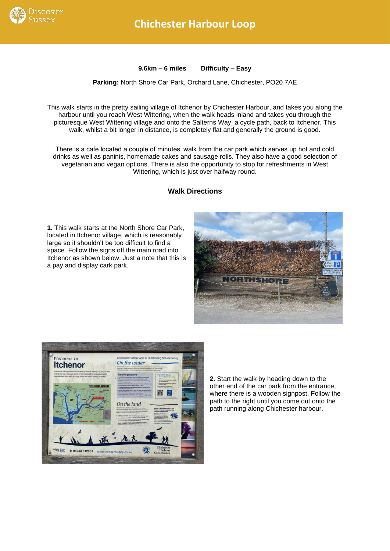

**9.6km – 6 miles Difficulty – Easy**

**Parking:** North Shore Car Park, Orchard Lane, Chichester, PO20 7AE

This walk starts in the pretty sailing village of Itchenor by Chichester Harbour, and takes you along the harbour until you reach West Wittering, when the walk heads inland and takes you through the picturesque West Wittering village and onto the Salterns Way, a cycle path, back to Itchenor. This walk, whilst a bit longer in distance, is completely flat and generally the ground is good.

There is a cafe located a couple of minutes' walk from the car park which serves up hot and cold drinks as well as paninis, homemade cakes and sausage rolls. They also have a good selection of vegetarian and vegan options. There is also the opportunity to stop for refreshments in West Wittering, which is just over halfway round.

## **Walk Directions**

**1.** This walk starts at the North Shore Car Park, located in Itchenor village, which is reasonably large so it shouldn't be too difficult to find a space. Follow the signs off the main road into Itchenor as shown below. Just a note that this is a pay and display cark park.





**2.** Start the walk by heading down to the other end of the car park from the entrance, where there is a wooden signpost. Follow the path to the right until you come out onto the path running along Chichester harbour.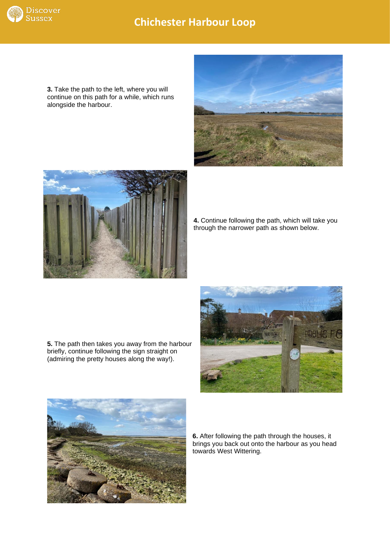

## **Chichester Harbour Loop**

**3.** Take the path to the left, where you will continue on this path for a while, which runs alongside the harbour.





**4.** Continue following the path, which will take you through the narrower path as shown below.

**5.** The path then takes you away from the harbour briefly, continue following the sign straight on (admiring the pretty houses along the way!).





**6.** After following the path through the houses, it brings you back out onto the harbour as you head towards West Wittering.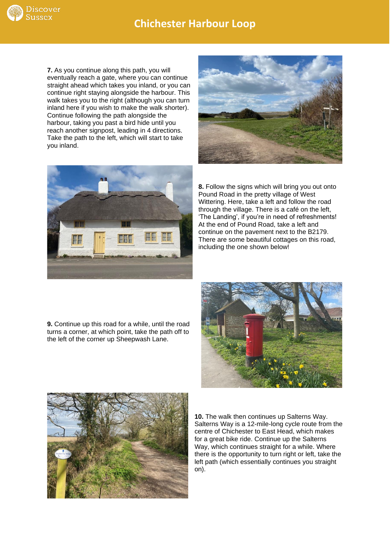

**7.** As you continue along this path, you will eventually reach a gate, where you can continue straight ahead which takes you inland, or you can continue right staying alongside the harbour. This walk takes you to the right (although you can turn inland here if you wish to make the walk shorter). Continue following the path alongside the harbour, taking you past a bird hide until you reach another signpost, leading in 4 directions. Take the path to the left, which will start to take you inland.





**8.** Follow the signs which will bring you out onto Pound Road in the pretty village of West Wittering. Here, take a left and follow the road through the village. There is a café on the left, 'The Landing', if you're in need of refreshments! At the end of Pound Road, take a left and continue on the pavement next to the B2179. There are some beautiful cottages on this road, including the one shown below!

**9.** Continue up this road for a while, until the road turns a corner, at which point, take the path off to the left of the corner up Sheepwash Lane.





**10.** The walk then continues up Salterns Way. Salterns Way is a 12-mile-long cycle route from the centre of Chichester to East Head, which makes for a great bike ride. Continue up the Salterns Way, which continues straight for a while. Where there is the opportunity to turn right or left, take the left path (which essentially continues you straight on).